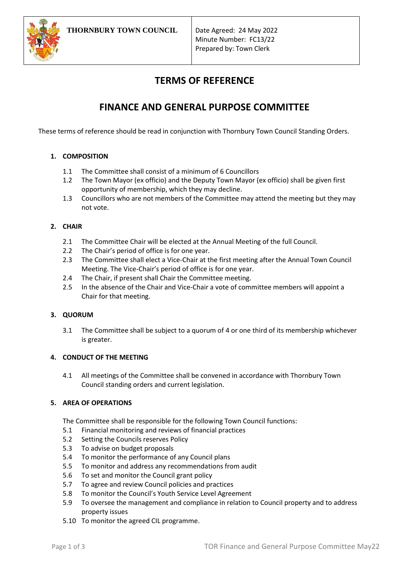

Minute Number: FC13/22 Prepared by: Town Clerk

# **TERMS OF REFERENCE**

## **FINANCE AND GENERAL PURPOSE COMMITTEE**

These terms of reference should be read in conjunction with Thornbury Town Council Standing Orders.

## **1. COMPOSITION**

- 1.1 The Committee shall consist of a minimum of 6 Councillors
- 1.2 The Town Mayor (ex officio) and the Deputy Town Mayor (ex officio) shall be given first opportunity of membership, which they may decline.
- 1.3 Councillors who are not members of the Committee may attend the meeting but they may not vote.

## **2. CHAIR**

- 2.1 The Committee Chair will be elected at the Annual Meeting of the full Council.
- 2.2 The Chair's period of office is for one year.
- 2.3 The Committee shall elect a Vice-Chair at the first meeting after the Annual Town Council Meeting. The Vice-Chair's period of office is for one year.
- 2.4 The Chair, if present shall Chair the Committee meeting.
- 2.5 In the absence of the Chair and Vice-Chair a vote of committee members will appoint a Chair for that meeting.

## **3. QUORUM**

3.1 The Committee shall be subject to a quorum of 4 or one third of its membership whichever is greater.

## **4. CONDUCT OF THE MEETING**

4.1 All meetings of the Committee shall be convened in accordance with Thornbury Town Council standing orders and current legislation.

## **5. AREA OF OPERATIONS**

The Committee shall be responsible for the following Town Council functions:

- 5.1 Financial monitoring and reviews of financial practices
- 5.2 Setting the Councils reserves Policy
- 5.3 To advise on budget proposals
- 5.4 To monitor the performance of any Council plans
- 5.5 To monitor and address any recommendations from audit
- 5.6 To set and monitor the Council grant policy
- 5.7 To agree and review Council policies and practices
- 5.8 To monitor the Council's Youth Service Level Agreement
- 5.9 To oversee the management and compliance in relation to Council property and to address property issues
- 5.10 To monitor the agreed CIL programme.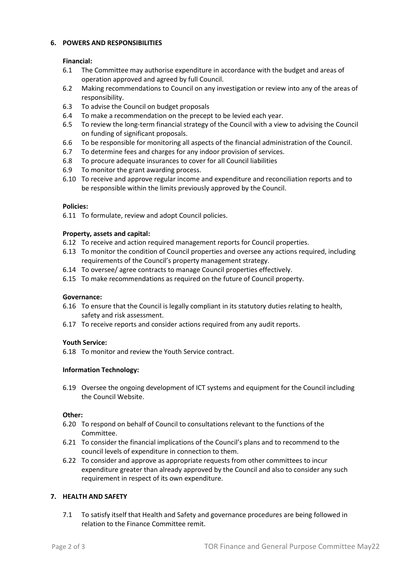### **6. POWERS AND RESPONSIBILITIES**

#### **Financial:**

- 6.1 The Committee may authorise expenditure in accordance with the budget and areas of operation approved and agreed by full Council.
- 6.2 Making recommendations to Council on any investigation or review into any of the areas of responsibility.
- 6.3 To advise the Council on budget proposals
- 6.4 To make a recommendation on the precept to be levied each year.
- 6.5 To review the long-term financial strategy of the Council with a view to advising the Council on funding of significant proposals.
- 6.6 To be responsible for monitoring all aspects of the financial administration of the Council.
- 6.7 To determine fees and charges for any indoor provision of services.
- 6.8 To procure adequate insurances to cover for all Council liabilities
- 6.9 To monitor the grant awarding process.
- 6.10 To receive and approve regular income and expenditure and reconciliation reports and to be responsible within the limits previously approved by the Council.

#### **Policies:**

6.11 To formulate, review and adopt Council policies.

#### **Property, assets and capital:**

- 6.12 To receive and action required management reports for Council properties.
- 6.13 To monitor the condition of Council properties and oversee any actions required, including requirements of the Council's property management strategy.
- 6.14 To oversee/ agree contracts to manage Council properties effectively.
- 6.15 To make recommendations as required on the future of Council property.

#### **Governance:**

- 6.16 To ensure that the Council is legally compliant in its statutory duties relating to health, safety and risk assessment.
- 6.17 To receive reports and consider actions required from any audit reports.

## **Youth Service:**

6.18 To monitor and review the Youth Service contract.

## **Information Technology:**

6.19 Oversee the ongoing development of ICT systems and equipment for the Council including the Council Website.

## **Other:**

- 6.20 To respond on behalf of Council to consultations relevant to the functions of the Committee.
- 6.21 To consider the financial implications of the Council's plans and to recommend to the council levels of expenditure in connection to them.
- 6.22 To consider and approve as appropriate requests from other committees to incur expenditure greater than already approved by the Council and also to consider any such requirement in respect of its own expenditure.

## **7. HEALTH AND SAFETY**

7.1 To satisfy itself that Health and Safety and governance procedures are being followed in relation to the Finance Committee remit.